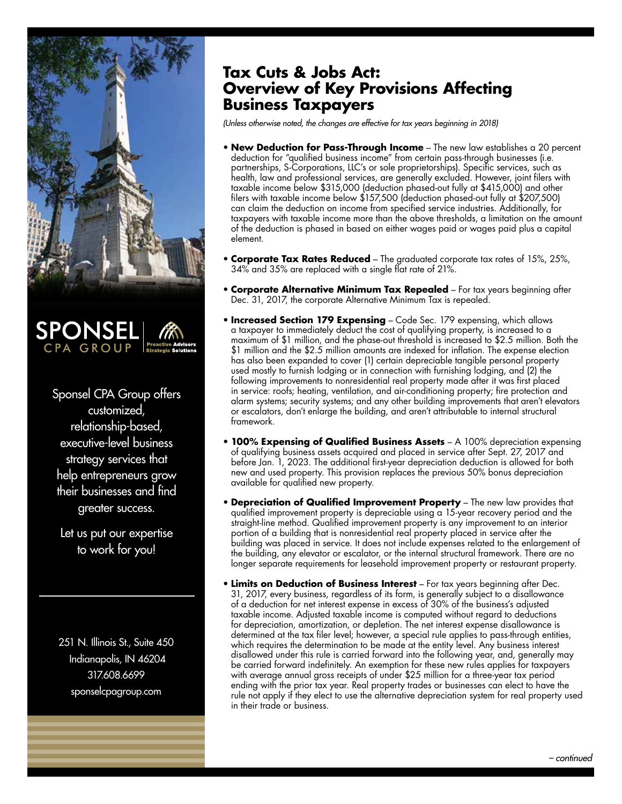



Sponsel CPA Group offers customized, relationship-based, executive-level business strategy services that help entrepreneurs grow their businesses and find greater success.

Let us put our expertise to work for you!

251 N. Illinois St., Suite 450 Indianapolis, IN 46204 317.608.6699 sponselcpagroup.com

## **Tax Cuts & Jobs Act: Overview of Key Provisions Affecting Business Taxpayers**

*(Unless otherwise noted, the changes are effective for tax years beginning in 2018)*

- **New Deduction for Pass-Through Income** The new law establishes a 20 percent deduction for "qualified business income" from certain pass-through businesses (i.e. partnerships, S-Corporations, LLC's or sole proprietorships). Specific services, such as health, law and professional services, are generally excluded. However, joint filers with taxable income below \$315,000 (deduction phased-out fully at \$415,000) and other filers with taxable income below \$157,500 (deduction phased-out fully at \$207,500) can claim the deduction on income from specified service industries. Additionally, for taxpayers with taxable income more than the above thresholds, a limitation on the amount of the deduction is phased in based on either wages paid or wages paid plus a capital element.
- **Corporate Tax Rates Reduced** The graduated corporate tax rates of 15%, 25%, 34% and 35% are replaced with a single flat rate of 21%.
- **Corporate Alternative Minimum Tax Repealed** For tax years beginning after Dec. 31, 2017, the corporate Alternative Minimum Tax is repealed.
- **Increased Section 179 Expensing** Code Sec. 179 expensing, which allows a taxpayer to immediately deduct the cost of qualifying property, is increased to a maximum of \$1 million, and the phase-out threshold is increased to \$2.5 million. Both the \$1 million and the \$2.5 million amounts are indexed for inflation. The expense election has also been expanded to cover (1) certain depreciable tangible personal property used mostly to furnish lodging or in connection with furnishing lodging, and (2) the following improvements to nonresidential real property made after it was first placed in service: roofs; heating, ventilation, and air-conditioning property; fire protection and alarm systems; security systems; and any other building improvements that aren't elevators or escalators, don't enlarge the building, and aren't attributable to internal structural framework.
- **100% Expensing of Qualified Business Assets** A 100% depreciation expensing of qualifying business assets acquired and placed in service after Sept. 27, 2017 and before Jan. 1, 2023. The additional first-year depreciation deduction is allowed for both new and used property. This provision replaces the previous 50% bonus depreciation available for qualified new property.
- **Depreciation of Qualified Improvement Property** The new law provides that qualified improvement property is depreciable using a 15-year recovery period and the straight-line method. Qualified improvement property is any improvement to an interior portion of a building that is nonresidential real property placed in service after the building was placed in service. It does not include expenses related to the enlargement of the building, any elevator or escalator, or the internal structural framework. There are no longer separate requirements for leasehold improvement property or restaurant property.
- **Limits on Deduction of Business Interest** For tax years beginning after Dec. 31, 2017, every business, regardless of its form, is generally subject to a disallowance of a deduction for net interest expense in excess of 30% of the business's adjusted taxable income. Adjusted taxable income is computed without regard to deductions for depreciation, amortization, or depletion. The net interest expense disallowance is determined at the tax filer level; however, a special rule applies to pass-through entities, which requires the determination to be made at the entity level. Any business interest disallowed under this rule is carried forward into the following year, and, generally may be carried forward indefinitely. An exemption for these new rules applies for taxpayers with average annual gross receipts of under \$25 million for a three-year tax period ending with the prior tax year. Real property trades or businesses can elect to have the rule not apply if they elect to use the alternative depreciation system for real property used in their trade or business.